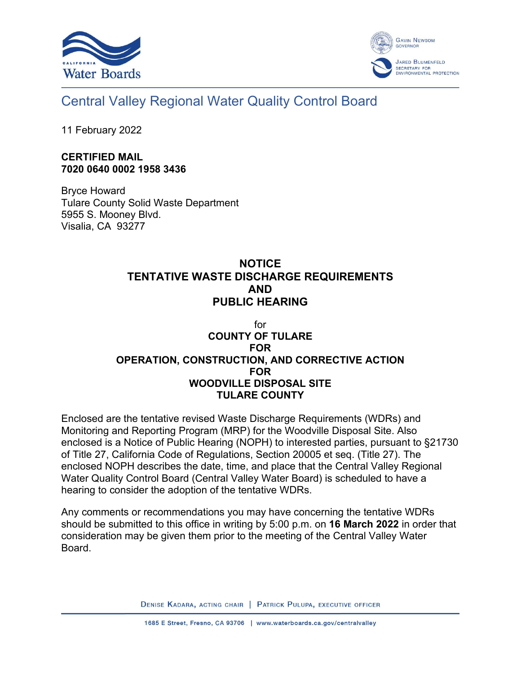



## Central Valley Regional Water Quality Control Board

11 February 2022

## **CERTIFIED MAIL 7020 0640 0002 1958 3436**

Bryce Howard Tulare County Solid Waste Department 5955 S. Mooney Blvd. Visalia, CA 93277

## **NOTICE TENTATIVE WASTE DISCHARGE REQUIREMENTS AND PUBLIC HEARING**

## for **COUNTY OF TULARE FOR OPERATION, CONSTRUCTION, AND CORRECTIVE ACTION FOR WOODVILLE DISPOSAL SITE TULARE COUNTY**

Enclosed are the tentative revised Waste Discharge Requirements (WDRs) and Monitoring and Reporting Program (MRP) for the Woodville Disposal Site. Also enclosed is a Notice of Public Hearing (NOPH) to interested parties, pursuant to §21730 of Title 27, California Code of Regulations, Section 20005 et seq. (Title 27). The enclosed NOPH describes the date, time, and place that the Central Valley Regional Water Quality Control Board (Central Valley Water Board) is scheduled to have a hearing to consider the adoption of the tentative WDRs.

Any comments or recommendations you may have concerning the tentative WDRs should be submitted to this office in writing by 5:00 p.m. on **16 March 2022** in order that consideration may be given them prior to the meeting of the Central Valley Water Board.

DENISE KADARA, ACTING CHAIR | PATRICK PULUPA, EXECUTIVE OFFICER